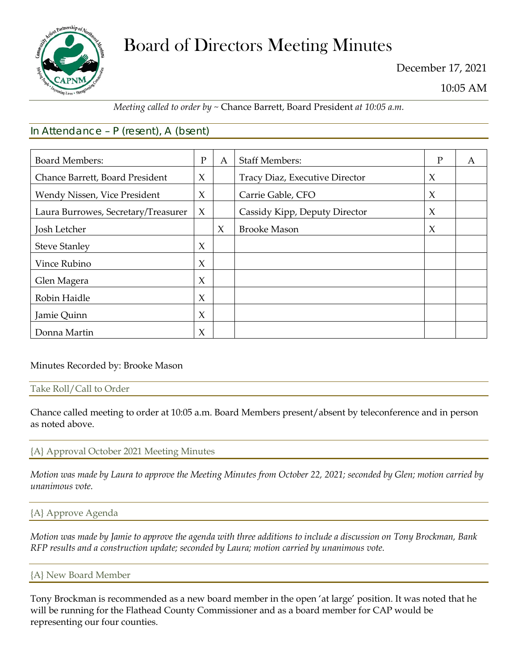

# Board of Directors Meeting Minutes

December 17, 2021

10:05 AM

# *Meeting called to order by ~* Chance Barrett, Board President *at 10:05 a.m.*

# In Attendance – P (resent), A (bsent)

| <b>Board Members:</b>               | $\mathbf{P}$ | A      | <b>Staff Members:</b>          | P      | A |
|-------------------------------------|--------------|--------|--------------------------------|--------|---|
| Chance Barrett, Board President     | X            |        | Tracy Diaz, Executive Director | $\chi$ |   |
| Wendy Nissen, Vice President        | X            |        | Carrie Gable, CFO              | $\chi$ |   |
| Laura Burrowes, Secretary/Treasurer | $\chi$       |        | Cassidy Kipp, Deputy Director  | $\chi$ |   |
| Josh Letcher                        |              | $\chi$ | <b>Brooke Mason</b>            | $\chi$ |   |
| <b>Steve Stanley</b>                | X            |        |                                |        |   |
| Vince Rubino                        | $\chi$       |        |                                |        |   |
| Glen Magera                         | $\chi$       |        |                                |        |   |
| Robin Haidle                        | $\chi$       |        |                                |        |   |
| Jamie Quinn                         | X            |        |                                |        |   |
| Donna Martin                        | X            |        |                                |        |   |

## Minutes Recorded by: Brooke Mason

#### Take Roll/Call to Order

Chance called meeting to order at 10:05 a.m. Board Members present/absent by teleconference and in person as noted above.

## {A} Approval October 2021 Meeting Minutes

*Motion was made by Laura to approve the Meeting Minutes from October 22, 2021; seconded by Glen; motion carried by unanimous vote.*

## {A} Approve Agenda

*Motion was made by Jamie to approve the agenda with three additions to include a discussion on Tony Brockman, Bank RFP results and a construction update; seconded by Laura; motion carried by unanimous vote.*

#### {A} New Board Member

Tony Brockman is recommended as a new board member in the open 'at large' position. It was noted that he will be running for the Flathead County Commissioner and as a board member for CAP would be representing our four counties.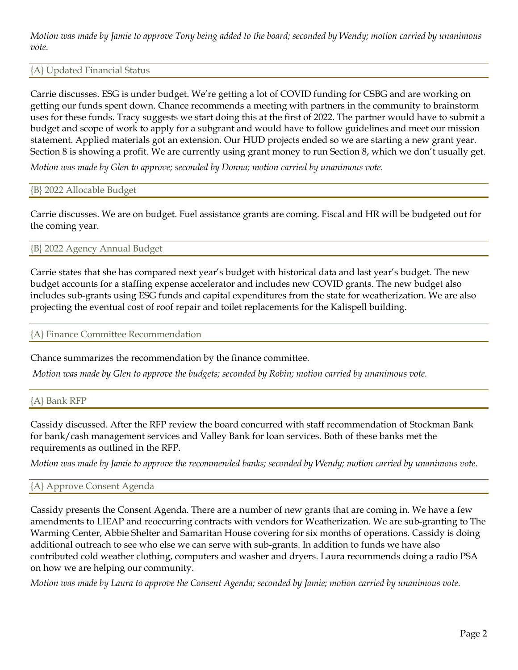*Motion was made by Jamie to approve Tony being added to the board; seconded by Wendy; motion carried by unanimous vote.*

## {A} Updated Financial Status

Carrie discusses. ESG is under budget. We're getting a lot of COVID funding for CSBG and are working on getting our funds spent down. Chance recommends a meeting with partners in the community to brainstorm uses for these funds. Tracy suggests we start doing this at the first of 2022. The partner would have to submit a budget and scope of work to apply for a subgrant and would have to follow guidelines and meet our mission statement. Applied materials got an extension. Our HUD projects ended so we are starting a new grant year. Section 8 is showing a profit. We are currently using grant money to run Section 8, which we don't usually get.

*Motion was made by Glen to approve; seconded by Donna; motion carried by unanimous vote.*

### {B} 2022 Allocable Budget

Carrie discusses. We are on budget. Fuel assistance grants are coming. Fiscal and HR will be budgeted out for the coming year.

{B} 2022 Agency Annual Budget

Carrie states that she has compared next year's budget with historical data and last year's budget. The new budget accounts for a staffing expense accelerator and includes new COVID grants. The new budget also includes sub-grants using ESG funds and capital expenditures from the state for weatherization. We are also projecting the eventual cost of roof repair and toilet replacements for the Kalispell building.

#### {A} Finance Committee Recommendation

Chance summarizes the recommendation by the finance committee.

*Motion was made by Glen to approve the budgets; seconded by Robin; motion carried by unanimous vote.* 

#### {A} Bank RFP

Cassidy discussed. After the RFP review the board concurred with staff recommendation of Stockman Bank for bank/cash management services and Valley Bank for loan services. Both of these banks met the requirements as outlined in the RFP.

*Motion was made by Jamie to approve the recommended banks; seconded by Wendy; motion carried by unanimous vote.* 

#### {A} Approve Consent Agenda

Cassidy presents the Consent Agenda. There are a number of new grants that are coming in. We have a few amendments to LIEAP and reoccurring contracts with vendors for Weatherization. We are sub-granting to The Warming Center, Abbie Shelter and Samaritan House covering for six months of operations. Cassidy is doing additional outreach to see who else we can serve with sub-grants. In addition to funds we have also contributed cold weather clothing, computers and washer and dryers. Laura recommends doing a radio PSA on how we are helping our community.

*Motion was made by Laura to approve the Consent Agenda; seconded by Jamie; motion carried by unanimous vote.*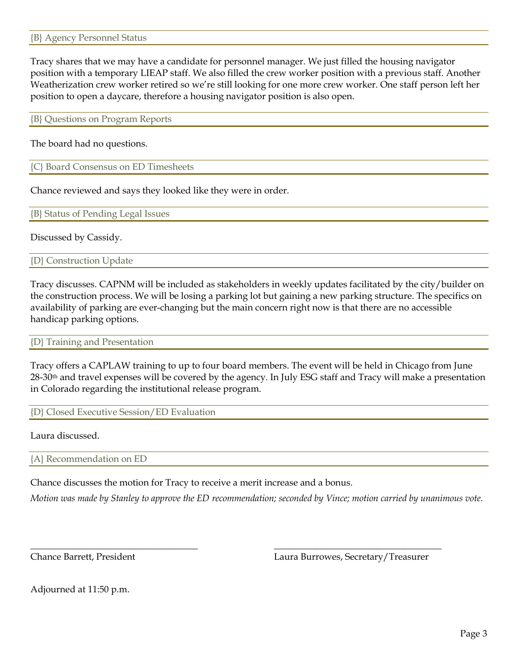Tracy shares that we may have a candidate for personnel manager. We just filled the housing navigator position with a temporary LIEAP staff. We also filled the crew worker position with a previous staff. Another Weatherization crew worker retired so we're still looking for one more crew worker. One staff person left her position to open a daycare, therefore a housing navigator position is also open.

{B} Questions on Program Reports

The board had no questions.

{C} Board Consensus on ED Timesheets

Chance reviewed and says they looked like they were in order.

{B} Status of Pending Legal Issues

Discussed by Cassidy.

{D} Construction Update

Tracy discusses. CAPNM will be included as stakeholders in weekly updates facilitated by the city/builder on the construction process. We will be losing a parking lot but gaining a new parking structure. The specifics on availability of parking are ever-changing but the main concern right now is that there are no accessible handicap parking options.

{D} Training and Presentation

Tracy offers a CAPLAW training to up to four board members. The event will be held in Chicago from June 28-30<sup>th</sup> and travel expenses will be covered by the agency. In July ESG staff and Tracy will make a presentation in Colorado regarding the institutional release program.

{D} Closed Executive Session/ED Evaluation

Laura discussed.

{A} Recommendation on ED

Chance discusses the motion for Tracy to receive a merit increase and a bonus.

*Motion was made by Stanley to approve the ED recommendation; seconded by Vince; motion carried by unanimous vote.*

\_\_\_\_\_\_\_\_\_\_\_\_\_\_\_\_\_\_\_\_\_\_\_\_\_\_\_\_\_\_\_\_\_\_\_\_ \_\_\_\_\_\_\_\_\_\_\_\_\_\_\_\_\_\_\_\_\_\_\_\_\_\_\_\_\_\_\_\_\_\_\_\_

Chance Barrett, President Laura Burrowes, Secretary/Treasurer

Adjourned at 11:50 p.m.